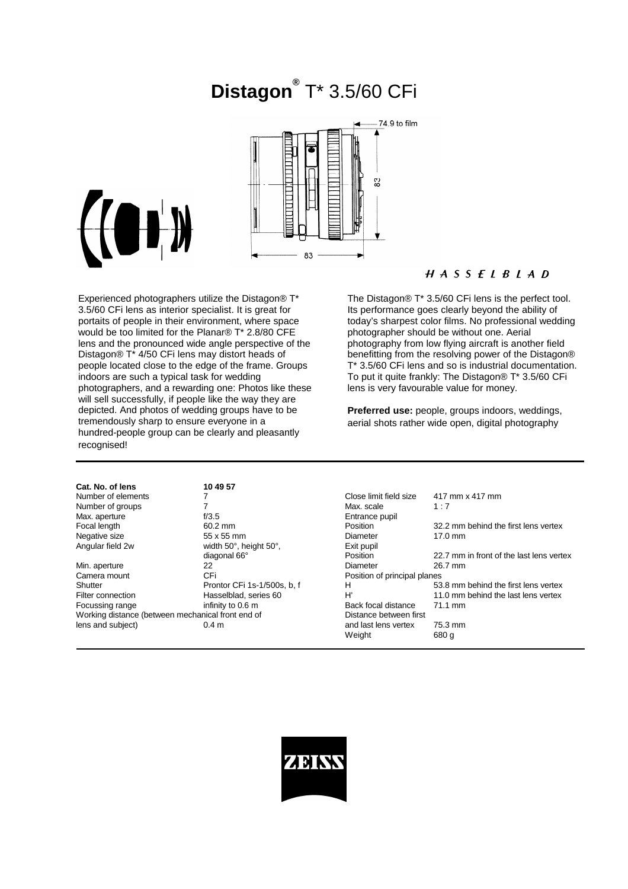# **Distagon®** T\* 3.5/60 CFi



Experienced photographers utilize the Distagon® T\* 3.5/60 CFi lens as interior specialist. It is great for portaits of people in their environment, where space would be too limited for the Planar® T\* 2.8/80 CFE lens and the pronounced wide angle perspective of the Distagon® T\* 4/50 CFi lens may distort heads of people located close to the edge of the frame. Groups indoors are such a typical task for wedding photographers, and a rewarding one: Photos like these will sell successfully, if people like the way they are depicted. And photos of wedding groups have to be tremendously sharp to ensure everyone in a hundred-people group can be clearly and pleasantly recognised!

**Cat. No. of lens 10 49 57**

55 x 55 mm

## $H A S S F I B I A D$

The Distagon® T<sup>\*</sup> 3.5/60 CFi lens is the perfect tool. Its performance goes clearly beyond the ability of today's sharpest color films. No professional wedding photographer should be without one. Aerial photography from low flying aircraft is another field benefitting from the resolving power of the Distagon® T\* 3.5/60 CFi lens and so is industrial documentation. To put it quite frankly: The Distagon® T\* 3.5/60 CFi lens is very favourable value for money.

**Preferred use:** people, groups indoors, weddings, aerial shots rather wide open, digital photography

| Cat. No. of lens   |
|--------------------|
| Number of elements |
| Number of groups   |
| Max. aperture      |
| Focal length       |
| Negative size      |
| Angular field 2w   |
|                    |

Min. aperture  $22$  22 Diameter 26.7 mm<br>Camera mount CFi CFi Diameter 26.7 mm Cri Cripton Centera mount<br>
Cripton Center Cripton of principal planes<br>
Cripton Center Cripton of the Cripton of principal planes<br>
Cripton Center Cripton of the Cripton of principal planes Working distance (between mechanical front end of Distance between first lens and subject) **6.4 m** and last lens vertex 75.3 mm

S
Number of the Close limit field size  $\begin{array}{cc} 7 & \text{Max. scale} & 417 \text{ mm} \times 417 \text{ mm} \end{array}$ Number of groups **7** Max. scale 1 : 7 f/3.5 Entrance pupil<br>  $\frac{60.2 \text{ mm}}{200}$ Fosition 32.2 mm behind the first lens vertex<br>Diameter 17.0 mm width 50°, height 50°, Exit pupil<br>diagonal 66° Position Position 22.7 mm in front of the last lens vertex Shutter Prontor CFi 1s-1/500s, b, f<br>Filter connection H 53.8 mm behind the first lens vertex<br>Filter connection H 3.8 mm behind the last lens vertex Filter connection **Hasselblad, series 60** H' 11.0 mm behind the last lens vertex<br>Focussing range infinity to 0.6 m Back focal distance 71.1 mm Back focal distance Weight 680 g